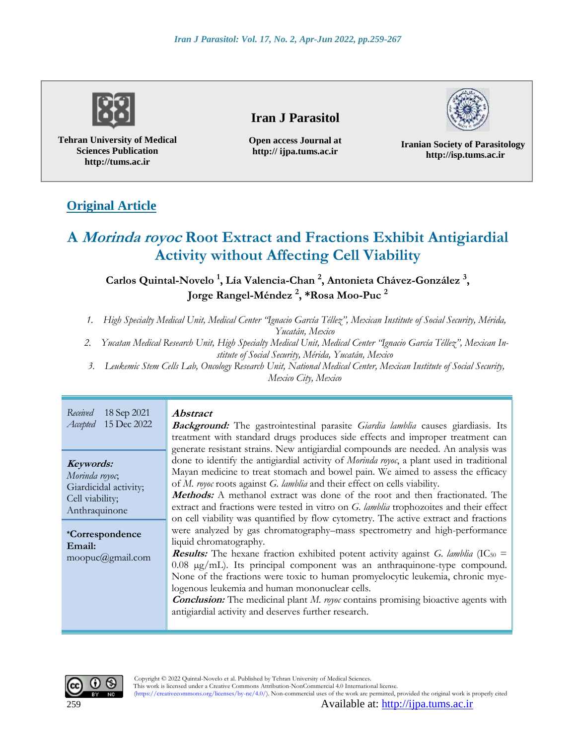

**Tehran University of Medical Sciences Publication http://tums.ac.ir**

## **Iran J Parasitol**

**Open access Journal at http:// ijpa.tums.ac.ir**

**Iranian Society of Parasitology http://isp.tums.ac.ir**

# **Original Article**

# **A Morinda royoc Root Extract and Fractions Exhibit Antigiardial Activity without Affecting Cell Viability**

### **Carlos Quintal-Novelo <sup>1</sup> , Lía Valencia-Chan <sup>2</sup> , Antonieta Chávez-González <sup>3</sup> , Jorge Rangel-Méndez <sup>2</sup> , \*Rosa Moo-Puc <sup>2</sup>**

*1. High Specialty Medical Unit, Medical Center "Ignacio García Téllez", Mexican Institute of Social Security, Mérida,* 

*Yucatán, Mexico*

- *2. Yucatan Medical Research Unit, High Specialty Medical Unit, Medical Center "Ignacio García Téllez", Mexican Institute of Social Security, Mérida, Yucatán, Mexico*
- *3. Leukemic Stem Cells Lab, Oncology Research Unit, National Medical Center, Mexican Institute of Social Security, Mexico City, Mexico*

| Received                                                                                                                                         | <i>Abstract</i>                                                                                                                                                                                                                                                                                                                                                                                                                                                                                                                                                                                                                                                                                                                                                                                                                                                                                                                                                                                                                                                                                                            |
|--------------------------------------------------------------------------------------------------------------------------------------------------|----------------------------------------------------------------------------------------------------------------------------------------------------------------------------------------------------------------------------------------------------------------------------------------------------------------------------------------------------------------------------------------------------------------------------------------------------------------------------------------------------------------------------------------------------------------------------------------------------------------------------------------------------------------------------------------------------------------------------------------------------------------------------------------------------------------------------------------------------------------------------------------------------------------------------------------------------------------------------------------------------------------------------------------------------------------------------------------------------------------------------|
| 18 Sep 2021                                                                                                                                      | <b>Background:</b> The gastrointestinal parasite Giardia lamblia causes giardiasis. Its                                                                                                                                                                                                                                                                                                                                                                                                                                                                                                                                                                                                                                                                                                                                                                                                                                                                                                                                                                                                                                    |
| 15 Dec 2022                                                                                                                                      | treatment with standard drugs produces side effects and improper treatment can                                                                                                                                                                                                                                                                                                                                                                                                                                                                                                                                                                                                                                                                                                                                                                                                                                                                                                                                                                                                                                             |
| Accepted                                                                                                                                         | generate resistant strains. New antigiardial compounds are needed. An analysis was                                                                                                                                                                                                                                                                                                                                                                                                                                                                                                                                                                                                                                                                                                                                                                                                                                                                                                                                                                                                                                         |
| Keywords:<br>Morinda royoc,<br>Giardicidal activity;<br>Cell viability;<br>Anthraquinone<br><i>*Correspondence</i><br>Email:<br>moopuc@gmail.com | done to identify the antigiardial activity of Morinda royoc, a plant used in traditional<br>Mayan medicine to treat stomach and bowel pain. We aimed to assess the efficacy<br>of M. royoc roots against G. lamblia and their effect on cells viability.<br><b>Methods:</b> A methanol extract was done of the root and then fractionated. The<br>extract and fractions were tested in vitro on G. lamblia trophozoites and their effect<br>on cell viability was quantified by flow cytometry. The active extract and fractions<br>were analyzed by gas chromatography–mass spectrometry and high-performance<br>liquid chromatography.<br><b>Results:</b> The hexane fraction exhibited potent activity against G. lamblia (IC <sub>50</sub> =<br>$0.08 \mu g/mL$ ). Its principal component was an anthraquinone-type compound.<br>None of the fractions were toxic to human promyelocytic leukemia, chronic mye-<br>logenous leukemia and human mononuclear cells.<br><b>Conclusion:</b> The medicinal plant M. royor contains promising bioactive agents with<br>antigiardial activity and deserves further research. |

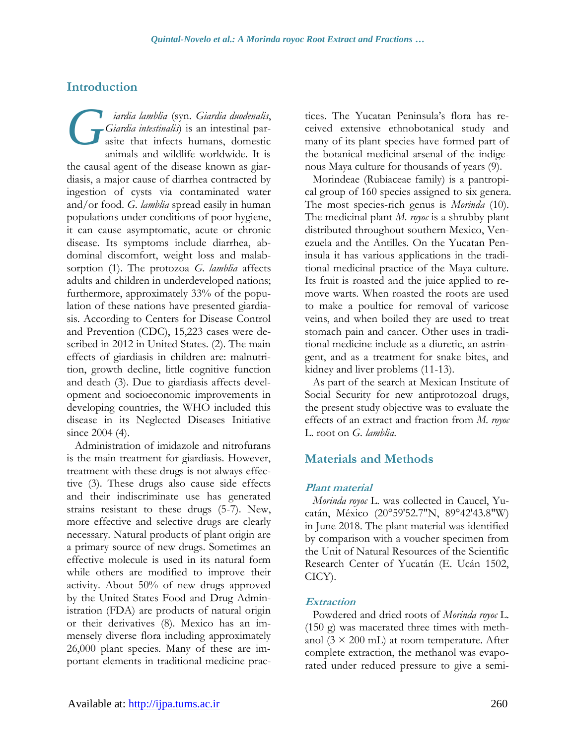## **Introduction**

*iardia lamblia* (syn. *Giardia duodenalis*, *Giardia intestinalis*) is an intestinal parasite that infects humans, domestic animals and wildlife worldwide. It is the causal agent of the disease known as giardiasis, a major cause of diarrhea contracted by ingestion of cysts via contaminated water and/or food. *G. lamblia* spread easily in human populations under conditions of poor hygiene, it can cause asymptomatic, acute or chronic disease. Its symptoms include diarrhea, abdominal discomfort, weight loss and malabsorption (1). The protozoa *G. lamblia* affects adults and children in underdeveloped nations; furthermore, approximately 33% of the population of these nations have presented giardiasis. According to Centers for Disease Control and Prevention (CDC), 15,223 cases were described in 2012 in United States. (2). The main effects of giardiasis in children are: malnutrition, growth decline, little cognitive function and death (3). Due to giardiasis affects development and socioeconomic improvements in developing countries, the WHO included this disease in its Neglected Diseases Initiative since 2004 (4). *G*

Administration of imidazole and nitrofurans is the main treatment for giardiasis. However, treatment with these drugs is not always effective (3). These drugs also cause side effects and their indiscriminate use has generated strains resistant to these drugs (5-7). New, more effective and selective drugs are clearly necessary. Natural products of plant origin are a primary source of new drugs. Sometimes an effective molecule is used in its natural form while others are modified to improve their activity. About 50% of new drugs approved by the United States Food and Drug Administration (FDA) are products of natural origin or their derivatives (8). Mexico has an immensely diverse flora including approximately 26,000 plant species. Many of these are important elements in traditional medicine practices. The Yucatan Peninsula's flora has received extensive ethnobotanical study and many of its plant species have formed part of the botanical medicinal arsenal of the indigenous Maya culture for thousands of years (9).

Morindeae (Rubiaceae family) is a pantropical group of 160 species assigned to six genera. The most species-rich genus is *Morinda* (10). The medicinal plant *M. royoc* is a shrubby plant distributed throughout southern Mexico, Venezuela and the Antilles. On the Yucatan Peninsula it has various applications in the traditional medicinal practice of the Maya culture. Its fruit is roasted and the juice applied to remove warts. When roasted the roots are used to make a poultice for removal of varicose veins, and when boiled they are used to treat stomach pain and cancer. Other uses in traditional medicine include as a diuretic, an astringent, and as a treatment for snake bites, and kidney and liver problems (11-13).

As part of the search at Mexican Institute of Social Security for new antiprotozoal drugs, the present study objective was to evaluate the effects of an extract and fraction from *M. royoc*  L. root on *G. lamblia*.

## **Materials and Methods**

### **Plant material**

*Morinda royoc* L. was collected in Caucel, Yucatán, México (20°59'52.7"N, 89°42'43.8"W) in June 2018. The plant material was identified by comparison with a voucher specimen from the Unit of Natural Resources of the Scientific Research Center of Yucatán (E. Ucán 1502, CICY).

### **Extraction**

Powdered and dried roots of *Morinda royoc* L. (150 g) was macerated three times with methanol ( $3 \times 200$  mL) at room temperature. After complete extraction, the methanol was evaporated under reduced pressure to give a semi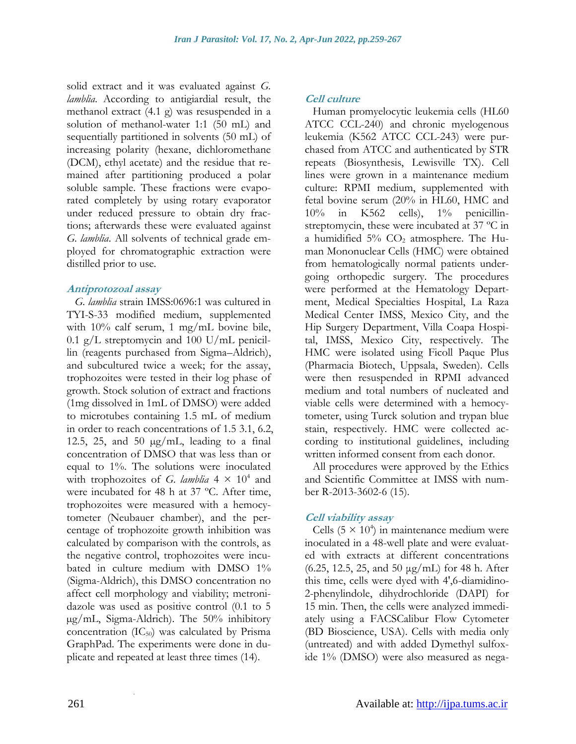solid extract and it was evaluated against *G. lamblia.* According to antigiardial result, the methanol extract (4.1 g) was resuspended in a solution of methanol-water 1:1 (50 mL) and sequentially partitioned in solvents (50 mL) of increasing polarity (hexane, dichloromethane (DCM), ethyl acetate) and the residue that remained after partitioning produced a polar soluble sample. These fractions were evaporated completely by using rotary evaporator under reduced pressure to obtain dry fractions; afterwards these were evaluated against *G. lamblia*. All solvents of technical grade employed for chromatographic extraction were distilled prior to use.

#### **Antiprotozoal assay**

*G. lamblia* strain IMSS:0696:1 was cultured in TYI-S-33 modified medium, supplemented with 10% calf serum, 1 mg/mL bovine bile, 0.1 g/L streptomycin and 100 U/mL penicillin (reagents purchased from Sigma–Aldrich), and subcultured twice a week; for the assay, trophozoites were tested in their log phase of growth. Stock solution of extract and fractions (1mg dissolved in 1mL of DMSO) were added to microtubes containing 1.5 mL of medium in order to reach concentrations of 1.5 3.1, 6.2, 12.5, 25, and 50  $\mu$ g/mL, leading to a final concentration of DMSO that was less than or equal to 1%. The solutions were inoculated with trophozoites of *G. lamblia*  $4 \times 10^4$  and were incubated for 48 h at 37 ºC. After time, trophozoites were measured with a hemocytometer (Neubauer chamber), and the percentage of trophozoite growth inhibition was calculated by comparison with the controls, as the negative control, trophozoites were incubated in culture medium with DMSO 1% (Sigma-Aldrich), this DMSO concentration no affect cell morphology and viability; metronidazole was used as positive control (0.1 to 5 µg/mL, Sigma-Aldrich). The 50% inhibitory concentration  $(IC_{50})$  was calculated by Prisma GraphPad. The experiments were done in duplicate and repeated at least three times (14).

### **Cell culture**

Human promyelocytic leukemia cells (HL60 ATCC CCL-240) and chronic myelogenous leukemia (K562 ATCC CCL-243) were purchased from ATCC and authenticated by STR repeats (Biosynthesis, Lewisville TX). Cell lines were grown in a maintenance medium culture: RPMI medium, supplemented with fetal bovine serum (20% in HL60, HMC and 10% in K562 cells), 1% penicillinstreptomycin, these were incubated at 37 ºC in a humidified  $5\%$  CO<sub>2</sub> atmosphere. The Human Mononuclear Cells (HMC) were obtained from hematologically normal patients undergoing orthopedic surgery. The procedures were performed at the Hematology Department, Medical Specialties Hospital, La Raza Medical Center IMSS, Mexico City, and the Hip Surgery Department, Villa Coapa Hospital, IMSS, Mexico City, respectively. The HMC were isolated using Ficoll Paque Plus (Pharmacia Biotech, Uppsala, Sweden). Cells were then resuspended in RPMI advanced medium and total numbers of nucleated and viable cells were determined with a hemocytometer, using Turck solution and trypan blue stain, respectively. HMC were collected according to institutional guidelines, including written informed consent from each donor.

All procedures were approved by the Ethics and Scientific Committee at IMSS with number R-2013-3602-6 (15).

### **Cell viability assay**

Cells  $(5 \times 10^4)$  in maintenance medium were inoculated in a 48-well plate and were evaluated with extracts at different concentrations (6.25, 12.5, 25, and 50 μg/mL) for 48 h. After this time, cells were dyed with 4',6-diamidino-2-phenylindole, dihydrochloride (DAPI) for 15 min. Then, the cells were analyzed immediately using a FACSCalibur Flow Cytometer (BD Bioscience, USA). Cells with media only (untreated) and with added Dymethyl sulfoxide 1% (DMSO) were also measured as nega-

.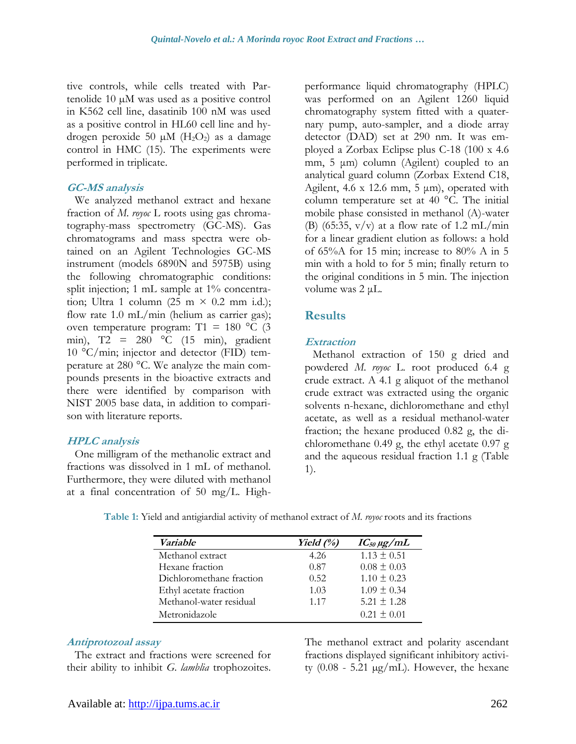tive controls, while cells treated with Partenolide 10 µM was used as a positive control in K562 cell line, dasatinib 100 nM was used as a positive control in HL60 cell line and hydrogen peroxide 50  $\mu$ M (H<sub>2</sub>O<sub>2</sub>) as a damage control in HMC (15). The experiments were performed in triplicate.

#### **GC-MS analysis**

We analyzed methanol extract and hexane fraction of *M. royoc* L roots using gas chromatography-mass spectrometry (GC-MS). Gas chromatograms and mass spectra were obtained on an Agilent Technologies GC-MS instrument (models 6890N and 5975B) using the following chromatographic conditions: split injection; 1 mL sample at 1% concentration; Ultra 1 column (25 m  $\times$  0.2 mm i.d.); flow rate 1.0 mL/min (helium as carrier gas); oven temperature program: T1 = 180  $\degree$ C (3 min), T2 = 280 °C (15 min), gradient 10 °C/min; injector and detector (FID) temperature at 280 °C. We analyze the main compounds presents in the bioactive extracts and there were identified by comparison with NIST 2005 base data, in addition to comparison with literature reports.

### **HPLC analysis**

One milligram of the methanolic extract and fractions was dissolved in 1 mL of methanol. Furthermore, they were diluted with methanol at a final concentration of 50 mg/L. Highperformance liquid chromatography (HPLC) was performed on an Agilent 1260 liquid chromatography system fitted with a quaternary pump, auto-sampler, and a diode array detector (DAD) set at 290 nm. It was employed a Zorbax Eclipse plus C-18 (100 x 4.6 mm, 5 μm) column (Agilent) coupled to an analytical guard column (Zorbax Extend C18, Agilent,  $4.6 \times 12.6$  mm,  $5 \mu m$ ), operated with column temperature set at 40 °C. The initial mobile phase consisted in methanol (A)-water (B) (65:35,  $v/v$ ) at a flow rate of 1.2 mL/min for a linear gradient elution as follows: a hold of 65%A for 15 min; increase to 80% A in 5 min with a hold to for 5 min; finally return to the original conditions in 5 min. The injection volume was 2 μL.

### **Results**

### **Extraction**

Methanol extraction of 150 g dried and powdered *M. royoc* L. root produced 6.4 g crude extract. A 4.1 g aliquot of the methanol crude extract was extracted using the organic solvents n-hexane, dichloromethane and ethyl acetate, as well as a residual methanol-water fraction; the hexane produced 0.82 g, the dichloromethane 0.49 g, the ethyl acetate 0.97 g and the aqueous residual fraction 1.1 g (Table 1).

| <i>Variable</i>          | Yield $(%)$ | $IC_{50} \mu g/mL$ |
|--------------------------|-------------|--------------------|
| Methanol extract         | 4.26        | $1.13 \pm 0.51$    |
| Hexane fraction          | 0.87        | $0.08 \pm 0.03$    |
| Dichloromethane fraction | 0.52        | $1.10 \pm 0.23$    |
| Ethyl acetate fraction   | 1.03        | $1.09 \pm 0.34$    |
| Methanol-water residual  | 1.17        | $5.21 \pm 1.28$    |
| Metronidazole            |             | $0.21 \pm 0.01$    |

**Table 1:** Yield and antigiardial activity of methanol extract of *M. royoc* roots and its fractions

#### **Antiprotozoal assay**

The extract and fractions were screened for their ability to inhibit *G. lamblia* trophozoites. The methanol extract and polarity ascendant fractions displayed significant inhibitory activity  $(0.08 - 5.21 \mu g/mL)$ . However, the hexane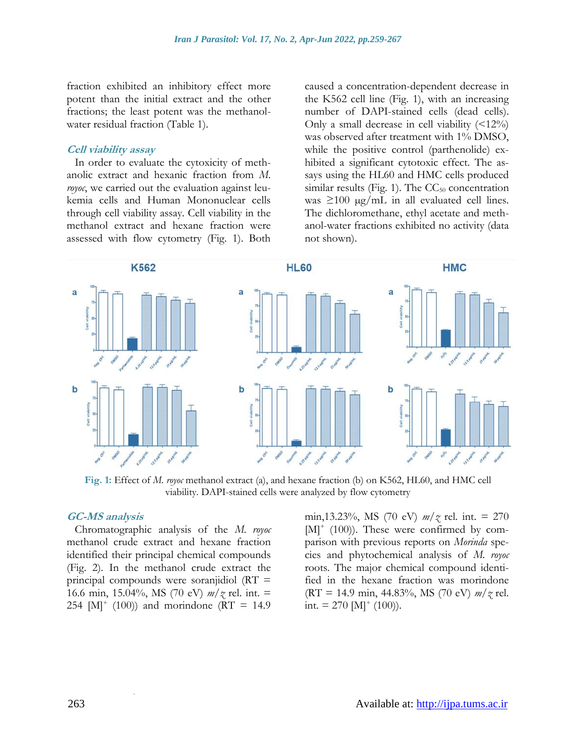fraction exhibited an inhibitory effect more potent than the initial extract and the other fractions; the least potent was the methanolwater residual fraction (Table 1).

#### **Cell viability assay**

In order to evaluate the cytoxicity of methanolic extract and hexanic fraction from *M. royoc*, we carried out the evaluation against leukemia cells and Human Mononuclear cells through cell viability assay. Cell viability in the methanol extract and hexane fraction were assessed with flow cytometry (Fig. 1). Both

caused a concentration-dependent decrease in the K562 cell line (Fig. 1), with an increasing number of DAPI-stained cells (dead cells). Only a small decrease in cell viability  $($ was observed after treatment with 1% DMSO, while the positive control (parthenolide) exhibited a significant cytotoxic effect. The assays using the HL60 and HMC cells produced similar results (Fig. 1). The  $CC_{50}$  concentration was  $\geq 100 \mu g/mL$  in all evaluated cell lines. The dichloromethane, ethyl acetate and methanol-water fractions exhibited no activity (data not shown).



**Fig. 1:** Effect of *M. royoc* methanol extract (a), and hexane fraction (b) on K562, HL60, and HMC cell viability. DAPI-stained cells were analyzed by flow cytometry

#### **GC-MS analysis**

Chromatographic analysis of the *M. royoc* methanol crude extract and hexane fraction identified their principal chemical compounds (Fig. 2). In the methanol crude extract the principal compounds were soranjidiol (RT = 16.6 min, 15.04%, MS (70 eV) *m/z* rel. int. = 254  $[M^+ (100))$  and morindone (RT = 14.9)

.

min,13.23%, MS (70 eV) *m/z* rel. int. = 270 [M]<sup>+</sup> (100)). These were confirmed by comparison with previous reports on *Morinda* species and phytochemical analysis of *M. royoc* roots. The major chemical compound identified in the hexane fraction was morindone (RT = 14.9 min, 44.83%, MS (70 eV) *m/z* rel. int.  $= 270$  [M]<sup>+</sup> (100)).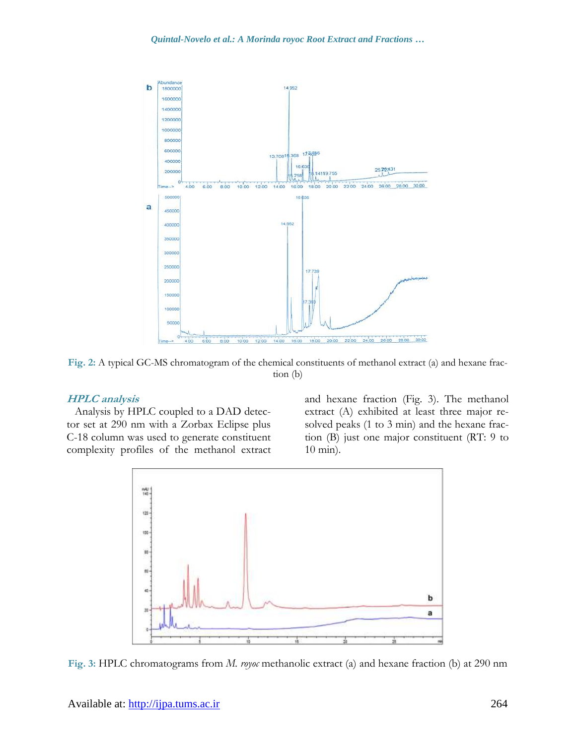

**Fig. 2:** A typical GC-MS chromatogram of the chemical constituents of methanol extract (a) and hexane fraction (b)

#### **HPLC analysis**

Analysis by HPLC coupled to a DAD detector set at 290 nm with a Zorbax Eclipse plus C-18 column was used to generate constituent complexity profiles of the methanol extract and hexane fraction (Fig. 3). The methanol extract (A) exhibited at least three major resolved peaks (1 to 3 min) and the hexane fraction (B) just one major constituent (RT: 9 to 10 min).



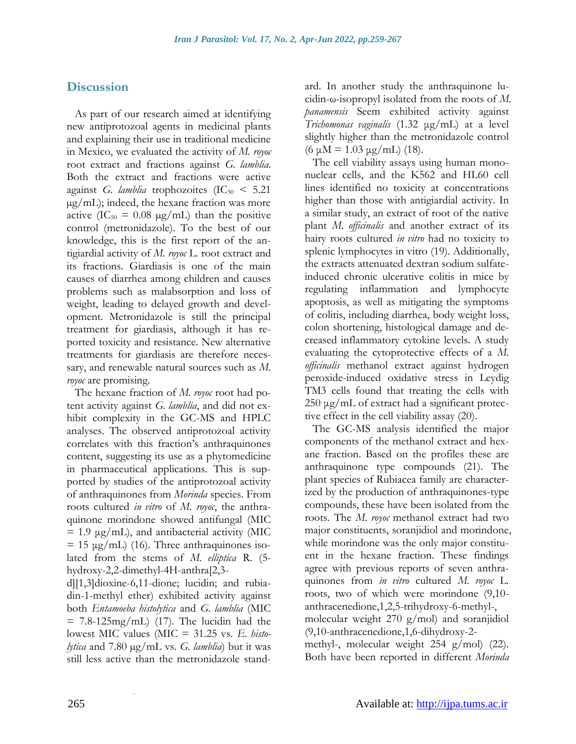### **Discussion**

As part of our research aimed at identifying new antiprotozoal agents in medicinal plants and explaining their use in traditional medicine in Mexico, we evaluated the activity of *M. royoc* root extract and fractions against *G. lamblia*. Both the extract and fractions were active against *G. lamblia* trophozoites  $(IC_{50} < 5.21)$ µg/mL); indeed, the hexane fraction was more active  $(IC_{50} = 0.08 \text{ µg/mL})$  than the positive control (metronidazole). To the best of our knowledge, this is the first report of the antigiardial activity of *M. royoc* L. root extract and its fractions. Giardiasis is one of the main causes of diarrhea among children and causes problems such as malabsorption and loss of weight, leading to delayed growth and development. Metronidazole is still the principal treatment for giardiasis, although it has reported toxicity and resistance. New alternative treatments for giardiasis are therefore necessary, and renewable natural sources such as *M. royoc* are promising.

The hexane fraction of *M. royoc* root had potent activity against *G. lamblia*, and did not exhibit complexity in the GC-MS and HPLC analyses. The observed antiprotozoal activity correlates with this fraction's anthraquinones content, suggesting its use as a phytomedicine in pharmaceutical applications. This is supported by studies of the antiprotozoal activity of anthraquinones from *Morinda* species. From roots cultured *in vitro* of *M*. *royoc*, the anthraquinone morindone showed antifungal (MIC  $= 1.9 \mu g/mL$ ), and antibacterial activity (MIC  $= 15 \mu g/mL$  (16). Three anthraquinones isolated from the stems of *M. elliptica* R. (5 hydroxy-2,2-dimethyl-4H-anthra[2,3-

d][1,3]dioxine-6,11-dione; lucidin; and rubiadin-1-methyl ether) exhibited activity against both *Entamoeba histolytica* and *G. lamblia* (MIC  $= 7.8 - 125$ mg/mL) (17). The lucidin had the lowest MIC values (MIC = 31.25 vs. *E. histolytica* and 7.80 µg/mL vs. *G. lamblia*) but it was still less active than the metronidazole stand-

.

ard. In another study the anthraquinone lucidin-ω-isopropyl isolated from the roots of *M. panamensis* Seem exhibited activity against *Trichomonas vaginalis* (1.32 μg/mL) at a level slightly higher than the metronidazole control (6 μM = 1.03 μg/mL) (18).

The cell viability assays using human mononuclear cells, and the K562 and HL60 cell lines identified no toxicity at concentrations higher than those with antigiardial activity. In a similar study, an extract of root of the native plant *M. officinalis* and another extract of its hairy roots cultured *in vitro* had no toxicity to splenic lymphocytes in vitro (19). Additionally, the extracts attenuated dextran sodium sulfateinduced chronic ulcerative colitis in mice by regulating inflammation and lymphocyte apoptosis, as well as mitigating the symptoms of colitis, including diarrhea, body weight loss, colon shortening, histological damage and decreased inflammatory cytokine levels. A study evaluating the cytoprotective effects of a *M. officinalis* methanol extract against hydrogen peroxide-induced oxidative stress in Leydig TM3 cells found that treating the cells with 250 μg/mL of extract had a significant protective effect in the cell viability assay (20).

The GC-MS analysis identified the major components of the methanol extract and hexane fraction. Based on the profiles these are anthraquinone type compounds (21). The plant species of Rubiacea family are characterized by the production of anthraquinones-type compounds, these have been isolated from the roots. The *M. royoc* methanol extract had two major constituents, soranjidiol and morindone, while morindone was the only major constituent in the hexane fraction. These findings agree with previous reports of seven anthraquinones from *in vitro* cultured *M. royoc* L. roots, two of which were morindone (9,10 anthracenedione,1,2,5-trihydroxy-6-methyl-, molecular weight 270 g/mol) and soranjidiol (9,10-anthracenedione,1,6-dihydroxy-2 methyl-, molecular weight 254 g/mol) (22). Both have been reported in different *Morinda*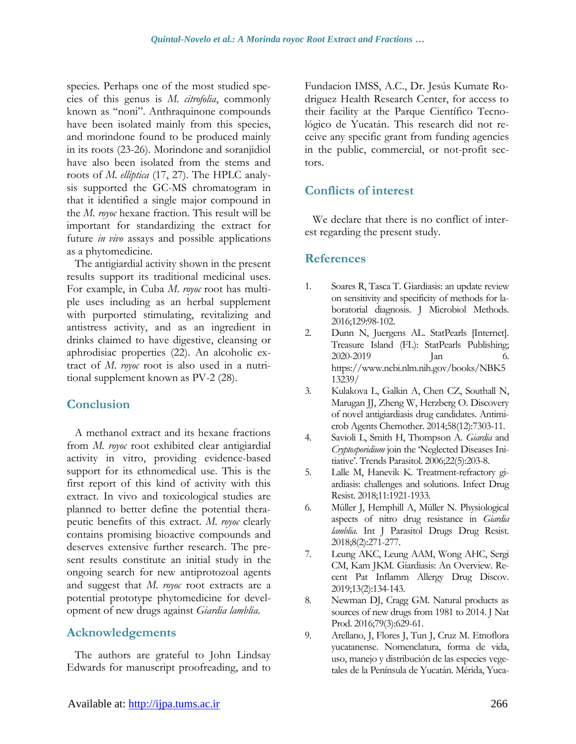species. Perhaps one of the most studied species of this genus is *M. citrofolia*, commonly known as "noni". Anthraquinone compounds have been isolated mainly from this species, and morindone found to be produced mainly in its roots (23-26). Morindone and soranjidiol have also been isolated from the stems and roots of *M. elliptica* (17, 27). The HPLC analysis supported the GC-MS chromatogram in that it identified a single major compound in the *M. royoc* hexane fraction. This result will be important for standardizing the extract for future *in vivo* assays and possible applications as a phytomedicine.

The antigiardial activity shown in the present results support its traditional medicinal uses. For example, in Cuba *M. royoc* root has multiple uses including as an herbal supplement with purported stimulating, revitalizing and antistress activity, and as an ingredient in drinks claimed to have digestive, cleansing or aphrodisiac properties (22). An alcoholic extract of *M. royoc* root is also used in a nutritional supplement known as PV-2 (28).

## **Conclusion**

A methanol extract and its hexane fractions from *M. royoc* root exhibited clear antigiardial activity in vitro, providing evidence-based support for its ethnomedical use. This is the first report of this kind of activity with this extract. In vivo and toxicological studies are planned to better define the potential therapeutic benefits of this extract. *M. royoc* clearly contains promising bioactive compounds and deserves extensive further research. The present results constitute an initial study in the ongoing search for new antiprotozoal agents and suggest that *M. royoc* root extracts are a potential prototype phytomedicine for development of new drugs against *Giardia lamblia*.

### **Acknowledgements**

The authors are grateful to John Lindsay Edwards for manuscript proofreading, and to

Fundacion IMSS, A.C., Dr. Jesús Kumate Rodriguez Health Research Center, for access to their facility at the Parque Científico Tecnológico de Yucatán. This research did not receive any specific grant from funding agencies in the public, commercial, or not-profit sectors.

## **Conflicts of interest**

We declare that there is no conflict of interest regarding the present study.

## **References**

- 1. Soares R, Tasca T. Giardiasis: an update review on sensitivity and specificity of methods for laboratorial diagnosis. J Microbiol Methods. 2016;129:98-102.
- 2. Dunn N, Juergens AL. StatPearls [Internet]. Treasure Island (FL): StatPearls Publishing; 2020-2019 Jan 6. [https://www.ncbi.nlm.nih.gov/books/NBK5](https://www.ncbi.nlm.nih.gov/books/NBK513239/) [13239/](https://www.ncbi.nlm.nih.gov/books/NBK513239/)
- 3. Kulakova L, Galkin A, Chen CZ, Southall N, Marugan JJ, Zheng W, Herzberg O. Discovery of novel antigiardiasis drug candidates. Antimicrob Agents Chemother. 2014;58(12):7303-11.
- 4. Savioli L, Smith H, Thompson A. *Giardia* and *Cryptosporidium* join the 'Neglected Diseases Initiative'. Trends Parasitol. 2006;22(5):203-8.
- 5. Lalle M, Hanevik K. Treatment-refractory giardiasis: challenges and solutions. Infect Drug Resist. 2018;11:1921-1933.
- 6. Müller J, Hemphill A, Müller N. Physiological aspects of nitro drug resistance in *Giardia lamblia*. Int J Parasitol Drugs Drug Resist. 2018;8(2):271-277.
- 7. Leung AKC, Leung AAM, Wong AHC, Sergi CM, Kam JKM. Giardiasis: An Overview. Recent Pat Inflamm Allergy Drug Discov. 2019;13(2):134-143.
- 8. Newman DJ, Cragg GM. Natural products as sources of new drugs from 1981 to 2014. J Nat Prod. 2016;79(3):629-61.
- 9. Arellano, J, Flores J, Tun J, Cruz M. Etnoflora yucatanense. Nomenclatura, forma de vida, uso, manejo y distribución de las especies vegetales de la Península de Yucatán. Mérida, Yuca-